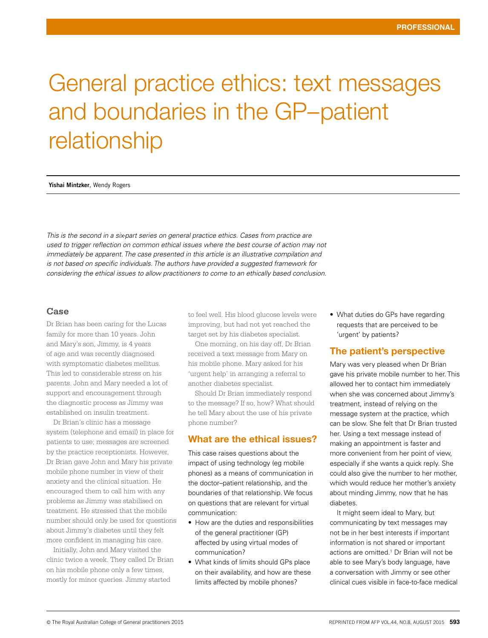# General practice ethics: text messages and boundaries in the GP–patient relationship

**Yishai Mintzker**, Wendy Rogers

*This is the second in a six-part series on general practice ethics. Cases from practice are used to trigger reflection on common ethical issues where the best course of action may not immediately be apparent. The case presented in this article is an illustrative compilation and is not based on specific individuals. The authors have provided a suggested framework for considering the ethical issues to allow practitioners to come to an ethically based conclusion.* 

#### **Case**

Dr Brian has been caring for the Lucas family for more than 10 years. John and Mary's son, Jimmy, is 4 years of age and was recently diagnosed with symptomatic diabetes mellitus. This led to considerable stress on his parents. John and Mary needed a lot of support and encouragement through the diagnostic process as Jimmy was established on insulin treatment.

Dr Brian's clinic has a message system (telephone and email) in place for patients to use; messages are screened by the practice receptionists. However, Dr Brian gave John and Mary his private mobile phone number in view of their anxiety and the clinical situation. He encouraged them to call him with any problems as Jimmy was stabilised on treatment. He stressed that the mobile number should only be used for questions about Jimmy's diabetes until they felt more confident in managing his care.

Initially, John and Mary visited the clinic twice a week. They called Dr Brian on his mobile phone only a few times, mostly for minor queries. Jimmy started

to feel well. His blood glucose levels were improving, but had not yet reached the target set by his diabetes specialist.

One morning, on his day off, Dr Brian received a text message from Mary on his mobile phone. Mary asked for his 'urgent help' in arranging a referral to another diabetes specialist.

Should Dr Brian immediately respond to the message? If so, how? What should he tell Mary about the use of his private phone number?

## What are the ethical issues?

This case raises questions about the impact of using technology (eg mobile phones) as a means of communication in the doctor–patient relationship, and the boundaries of that relationship. We focus on questions that are relevant for virtual communication:

- How are the duties and responsibilities of the general practitioner (GP) affected by using virtual modes of communication?
- What kinds of limits should GPs place on their availability, and how are these limits affected by mobile phones?

• What duties do GPs have regarding requests that are perceived to be 'urgent' by patients?

## The patient's perspective

Mary was very pleased when Dr Brian gave his private mobile number to her. This allowed her to contact him immediately when she was concerned about Jimmy's treatment, instead of relying on the message system at the practice, which can be slow. She felt that Dr Brian trusted her. Using a text message instead of making an appointment is faster and more convenient from her point of view, especially if she wants a quick reply. She could also give the number to her mother, which would reduce her mother's anxiety about minding Jimmy, now that he has diabetes.

It might seem ideal to Mary, but communicating by text messages may not be in her best interests if important information is not shared or important actions are omitted.1 Dr Brian will not be able to see Mary's body language, have a conversation with Jimmy or see other clinical cues visible in face-to-face medical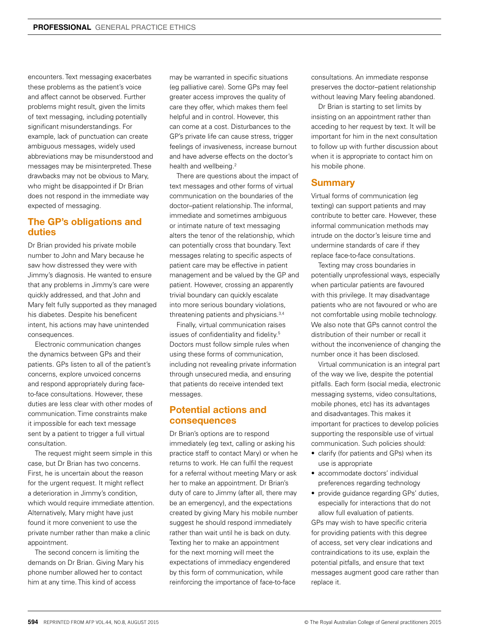encounters. Text messaging exacerbates these problems as the patient's voice and affect cannot be observed. Further problems might result, given the limits of text messaging, including potentially significant misunderstandings. For example, lack of punctuation can create ambiguous messages, widely used abbreviations may be misunderstood and messages may be misinterpreted. These drawbacks may not be obvious to Mary, who might be disappointed if Dr Brian does not respond in the immediate way expected of messaging.

## The GP's obligations and duties

Dr Brian provided his private mobile number to John and Mary because he saw how distressed they were with Jimmy's diagnosis. He wanted to ensure that any problems in Jimmy's care were quickly addressed, and that John and Mary felt fully supported as they managed his diabetes. Despite his beneficent intent, his actions may have unintended consequences.

Electronic communication changes the dynamics between GPs and their patients. GPs listen to all of the patient's concerns, explore unvoiced concerns and respond appropriately during faceto-face consultations. However, these duties are less clear with other modes of communication. Time constraints make it impossible for each text message sent by a patient to trigger a full virtual consultation.

The request might seem simple in this case, but Dr Brian has two concerns. First, he is uncertain about the reason for the urgent request. It might reflect a deterioration in Jimmy's condition, which would require immediate attention. Alternatively, Mary might have just found it more convenient to use the private number rather than make a clinic appointment.

The second concern is limiting the demands on Dr Brian. Giving Mary his phone number allowed her to contact him at any time. This kind of access

may be warranted in specific situations (eg palliative care). Some GPs may feel greater access improves the quality of care they offer, which makes them feel helpful and in control. However, this can come at a cost. Disturbances to the GP's private life can cause stress, trigger feelings of invasiveness, increase burnout and have adverse effects on the doctor's health and wellbeing.<sup>2</sup>

There are questions about the impact of text messages and other forms of virtual communication on the boundaries of the doctor–patient relationship. The informal, immediate and sometimes ambiguous or intimate nature of text messaging alters the tenor of the relationship, which can potentially cross that boundary. Text messages relating to specific aspects of patient care may be effective in patient management and be valued by the GP and patient. However, crossing an apparently trivial boundary can quickly escalate into more serious boundary violations, threatening patients and physicians.<sup>3,4</sup>

Finally, virtual communication raises issues of confidentiality and fidelity.5 Doctors must follow simple rules when using these forms of communication, including not revealing private information through unsecured media, and ensuring that patients do receive intended text messages.

#### Potential actions and consequences

Dr Brian's options are to respond immediately (eg text, calling or asking his practice staff to contact Mary) or when he returns to work. He can fulfil the request for a referral without meeting Mary or ask her to make an appointment. Dr Brian's duty of care to Jimmy (after all, there may be an emergency), and the expectations created by giving Mary his mobile number suggest he should respond immediately rather than wait until he is back on duty. Texting her to make an appointment for the next morning will meet the expectations of immediacy engendered by this form of communication, while reinforcing the importance of face-to-face

consultations. An immediate response preserves the doctor–patient relationship without leaving Mary feeling abandoned.

Dr Brian is starting to set limits by insisting on an appointment rather than acceding to her request by text. It will be important for him in the next consultation to follow up with further discussion about when it is appropriate to contact him on his mobile phone.

#### **Summary**

Virtual forms of communication (eg texting) can support patients and may contribute to better care. However, these informal communication methods may intrude on the doctor's leisure time and undermine standards of care if they replace face-to-face consultations.

Texting may cross boundaries in potentially unprofessional ways, especially when particular patients are favoured with this privilege. It may disadvantage patients who are not favoured or who are not comfortable using mobile technology. We also note that GPs cannot control the distribution of their number or recall it without the inconvenience of changing the number once it has been disclosed.

Virtual communication is an integral part of the way we live, despite the potential pitfalls. Each form (social media, electronic messaging systems, video consultations, mobile phones, etc) has its advantages and disadvantages. This makes it important for practices to develop policies supporting the responsible use of virtual communication. Such policies should:

- clarify (for patients and GPs) when its use is appropriate
- accommodate doctors' individual preferences regarding technology
- provide guidance regarding GPs' duties, especially for interactions that do not allow full evaluation of patients.

GPs may wish to have specific criteria for providing patients with this degree of access, set very clear indications and contraindications to its use, explain the potential pitfalls, and ensure that text messages augment good care rather than replace it.